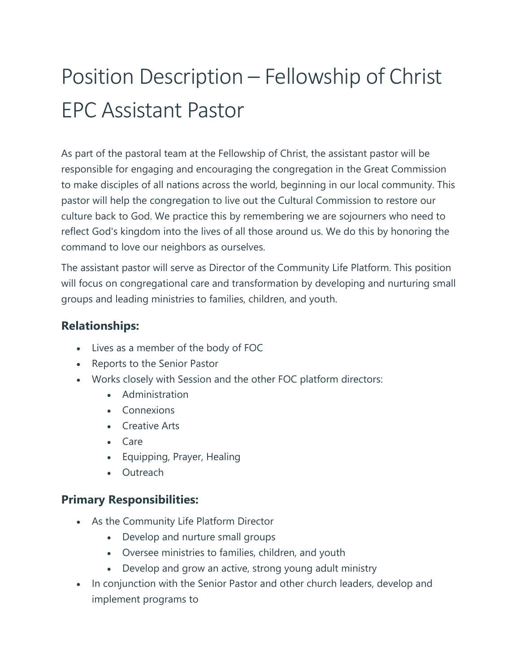# Position Description – Fellowship of Christ EPC Assistant Pastor

As part of the pastoral team at the Fellowship of Christ, the assistant pastor will be responsible for engaging and encouraging the congregation in the Great Commission to make disciples of all nations across the world, beginning in our local community. This pastor will help the congregation to live out the Cultural Commission to restore our culture back to God. We practice this by remembering we are sojourners who need to reflect God's kingdom into the lives of all those around us. We do this by honoring the command to love our neighbors as ourselves.

The assistant pastor will serve as Director of the Community Life Platform. This position will focus on congregational care and transformation by developing and nurturing small groups and leading ministries to families, children, and youth.

#### **Relationships:**

- Lives as a member of the body of FOC
- Reports to the Senior Pastor
- Works closely with Session and the other FOC platform directors:
	- Administration
	- Connexions
	- Creative Arts
	- Care
	- Equipping, Prayer, Healing
	- Outreach

## **Primary Responsibilities:**

- As the Community Life Platform Director
	- Develop and nurture small groups
	- Oversee ministries to families, children, and youth
	- Develop and grow an active, strong young adult ministry
- In conjunction with the Senior Pastor and other church leaders, develop and implement programs to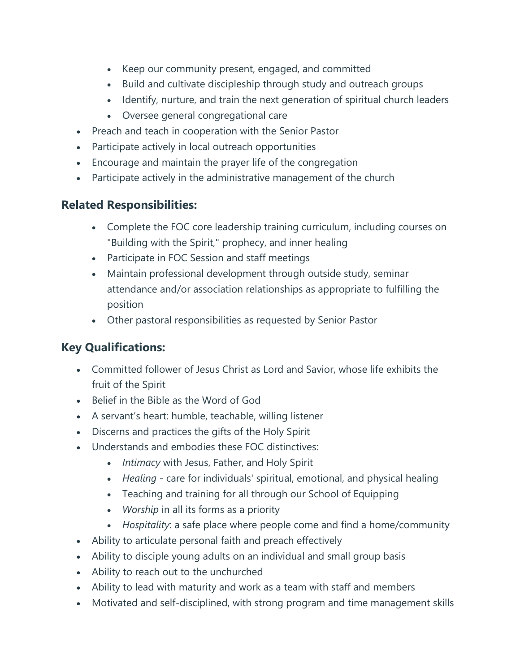- Keep our community present, engaged, and committed
- Build and cultivate discipleship through study and outreach groups
- Identify, nurture, and train the next generation of spiritual church leaders
- Oversee general congregational care
- Preach and teach in cooperation with the Senior Pastor
- Participate actively in local outreach opportunities
- Encourage and maintain the prayer life of the congregation
- Participate actively in the administrative management of the church

## **Related Responsibilities:**

- Complete the FOC core leadership training curriculum, including courses on "Building with the Spirit," prophecy, and inner healing
- Participate in FOC Session and staff meetings
- Maintain professional development through outside study, seminar attendance and/or association relationships as appropriate to fulfilling the position
- Other pastoral responsibilities as requested by Senior Pastor

# **Key Qualifications:**

- Committed follower of Jesus Christ as Lord and Savior, whose life exhibits the fruit of the Spirit
- Belief in the Bible as the Word of God
- A servant's heart: humble, teachable, willing listener
- Discerns and practices the gifts of the Holy Spirit
- Understands and embodies these FOC distinctives:
	- *Intimacy* with Jesus, Father, and Holy Spirit
	- *Healing* care for individuals' spiritual, emotional, and physical healing
	- Teaching and training for all through our School of Equipping
	- *Worship* in all its forms as a priority
	- *Hospitality*: a safe place where people come and find a home/community
- Ability to articulate personal faith and preach effectively
- Ability to disciple young adults on an individual and small group basis
- Ability to reach out to the unchurched
- Ability to lead with maturity and work as a team with staff and members
- Motivated and self-disciplined, with strong program and time management skills